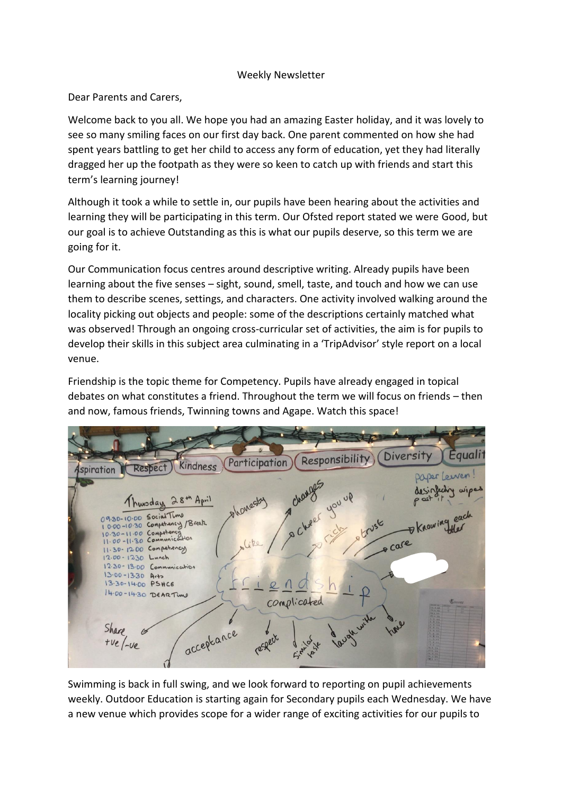## Weekly Newsletter

Dear Parents and Carers,

Welcome back to you all. We hope you had an amazing Easter holiday, and it was lovely to see so many smiling faces on our first day back. One parent commented on how she had spent years battling to get her child to access any form of education, yet they had literally dragged her up the footpath as they were so keen to catch up with friends and start this term's learning journey!

Although it took a while to settle in, our pupils have been hearing about the activities and learning they will be participating in this term. Our Ofsted report stated we were Good, but our goal is to achieve Outstanding as this is what our pupils deserve, so this term we are going for it.

Our Communication focus centres around descriptive writing. Already pupils have been learning about the five senses – sight, sound, smell, taste, and touch and how we can use them to describe scenes, settings, and characters. One activity involved walking around the locality picking out objects and people: some of the descriptions certainly matched what was observed! Through an ongoing cross-curricular set of activities, the aim is for pupils to develop their skills in this subject area culminating in a 'TripAdvisor' style report on a local venue.

Friendship is the topic theme for Competency. Pupils have already engaged in topical debates on what constitutes a friend. Throughout the term we will focus on friends – then and now, famous friends, Twinning towns and Agape. Watch this space!



Swimming is back in full swing, and we look forward to reporting on pupil achievements weekly. Outdoor Education is starting again for Secondary pupils each Wednesday. We have a new venue which provides scope for a wider range of exciting activities for our pupils to